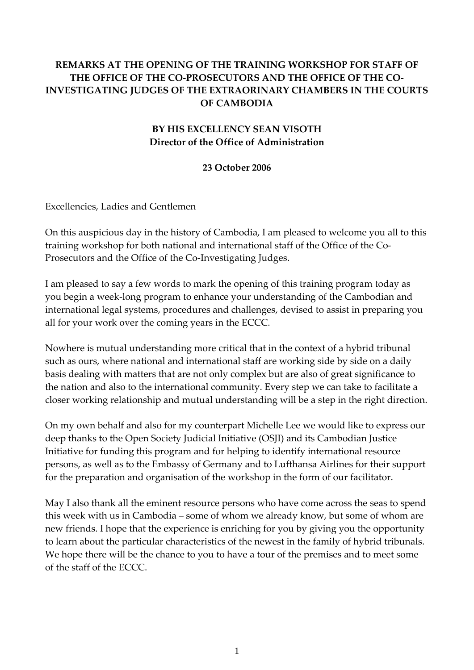## **REMARKS AT THE OPENING OF THE TRAINING WORKSHOP FOR STAFF OF THE OFFICE OF THE CO‐PROSECUTORS AND THE OFFICE OF THE CO‐ INVESTIGATING JUDGES OF THE EXTRAORINARY CHAMBERS IN THE COURTS OF CAMBODIA**

## **BY HIS EXCELLENCY SEAN VISOTH Director of the Office of Administration**

**23 October 2006**

Excellencies, Ladies and Gentlemen

On this auspicious day in the history of Cambodia, I am pleased to welcome you all to this training workshop for both national and international staff of the Office of the Co‐ Prosecutors and the Office of the Co-Investigating Judges.

I am pleased to say a few words to mark the opening of this training program today as you begin a week‐long program to enhance your understanding of the Cambodian and international legal systems, procedures and challenges, devised to assist in preparing you all for your work over the coming years in the ECCC.

Nowhere is mutual understanding more critical that in the context of a hybrid tribunal such as ours, where national and international staff are working side by side on a daily basis dealing with matters that are not only complex but are also of great significance to the nation and also to the international community. Every step we can take to facilitate a closer working relationship and mutual understanding will be a step in the right direction.

On my own behalf and also for my counterpart Michelle Lee we would like to express our deep thanks to the Open Society Judicial Initiative (OSJI) and its Cambodian Justice Initiative for funding this program and for helping to identify international resource persons, as well as to the Embassy of Germany and to Lufthansa Airlines for their support for the preparation and organisation of the workshop in the form of our facilitator.

May I also thank all the eminent resource persons who have come across the seas to spend this week with us in Cambodia – some of whom we already know, but some of whom are new friends. I hope that the experience is enriching for you by giving you the opportunity to learn about the particular characteristics of the newest in the family of hybrid tribunals. We hope there will be the chance to you to have a tour of the premises and to meet some of the staff of the ECCC.